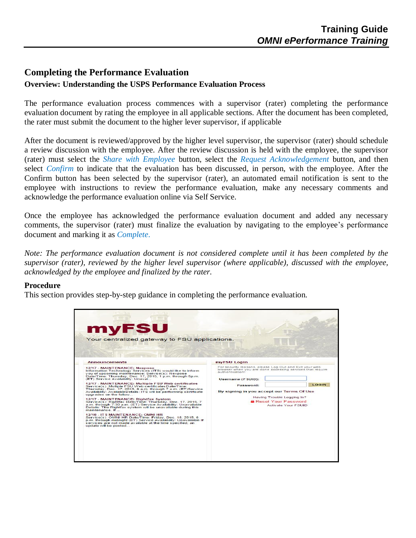## **Completing the Performance Evaluation**

## **Overview: Understanding the USPS Performance Evaluation Process**

The performance evaluation process commences with a supervisor (rater) completing the performance evaluation document by rating the employee in all applicable sections. After the document has been completed, the rater must submit the document to the higher lever supervisor, if applicable

After the document is reviewed/approved by the higher level supervisor, the supervisor (rater) should schedule a review discussion with the employee. After the review discussion is held with the employee, the supervisor (rater) must select the *Share with Employee* button, select the *Request Acknowledgement* button, and then select *Confirm* to indicate that the evaluation has been discussed, in person, with the employee. After the Confirm button has been selected by the supervisor (rater), an automated email notification is sent to the employee with instructions to review the performance evaluation, make any necessary comments and acknowledge the performance evaluation online via Self Service.

Once the employee has acknowledged the performance evaluation document and added any necessary comments, the supervisor (rater) must finalize the evaluation by navigating to the employee's performance document and marking it as *Complete*.

*Note: The performance evaluation document is not considered complete until it has been completed by the supervisor (rater), reviewed by the higher level supervisor (where applicable), discussed with the employee, acknowledged by the employee and finalized by the rater.*

## **Procedure**

This section provides step-by-step guidance in completing the performance evaluation.

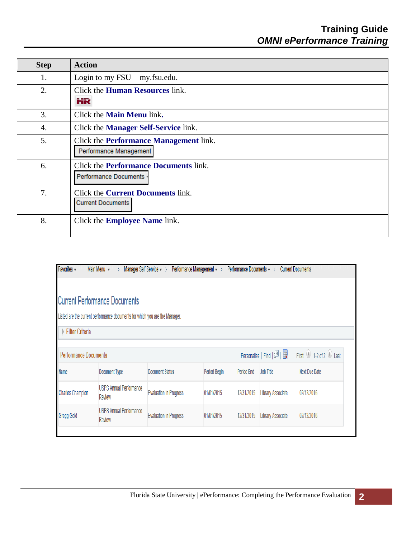| <b>Step</b> | <b>Action</b>                                                                |
|-------------|------------------------------------------------------------------------------|
| 1.          | Login to my $\text{FSU}$ – my.fsu.edu.                                       |
| 2.          | Click the <b>Human Resources</b> link.<br>HR                                 |
| 3.          | Click the <b>Main Menu</b> link.                                             |
| 4.          | Click the <b>Manager Self-Service</b> link.                                  |
| 5.          | Click the <b>Performance Management</b> link.<br>Performance Management      |
| 6.          | Click the <b>Performance Documents</b> link.<br><b>Performance Documents</b> |
| 7.          | Click the <b>Current Documents</b> link.<br><b>Current Documents</b>         |
| 8.          | Click the <b>Employee Name</b> link.                                         |

| Favorites -                  | Main Menu v                                                                 | Manager Self Service $\star \rightarrow$ | Performance Management $\star \rightarrow$ | Performance Documents $\star$ > |                          | <b>Current Documents</b> |
|------------------------------|-----------------------------------------------------------------------------|------------------------------------------|--------------------------------------------|---------------------------------|--------------------------|--------------------------|
|                              | <b>Current Performance Documents</b>                                        |                                          |                                            |                                 |                          |                          |
|                              | Listed are the current performance documents for which you are the Manager. |                                          |                                            |                                 |                          |                          |
| Filter Criteria              |                                                                             |                                          |                                            |                                 |                          |                          |
| <b>Performance Documents</b> |                                                                             |                                          |                                            |                                 | Personalize   Find   2   | First 1-2 of 2 Last      |
| <b>Name</b>                  | <b>Document Type</b>                                                        | <b>Document Status</b>                   | <b>Period Begin</b>                        | <b>Period End</b>               | <b>Job Title</b>         | <b>Next Due Date</b>     |
| <b>Charles Champion</b>      | <b>USPS Annual Performance</b><br><b>Review</b>                             | <b>Evaluation in Progress</b>            | 01/01/2015                                 | 12/31/2015                      | <b>Library Associate</b> | 02/12/2016               |
| Gregg Gold                   | <b>USPS Annual Performance</b><br><b>Review</b>                             | <b>Evaluation in Progress</b>            | 01/01/2015                                 | 12/31/2015                      | <b>Library Associate</b> | 02/12/2016               |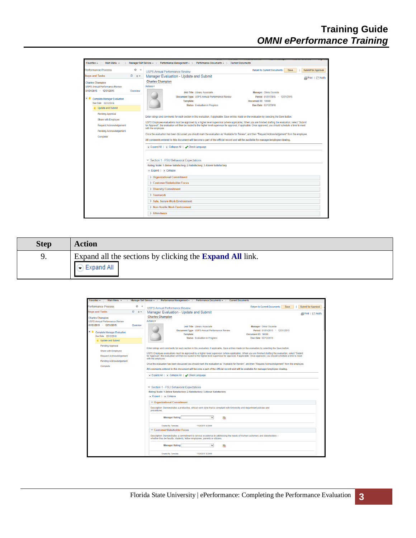

| <b>Step</b> | <b>Action</b>                                                                   |
|-------------|---------------------------------------------------------------------------------|
| 9.          | Expand all the sections by clicking the <b>Expand All</b> link.<br>◯ Expand All |

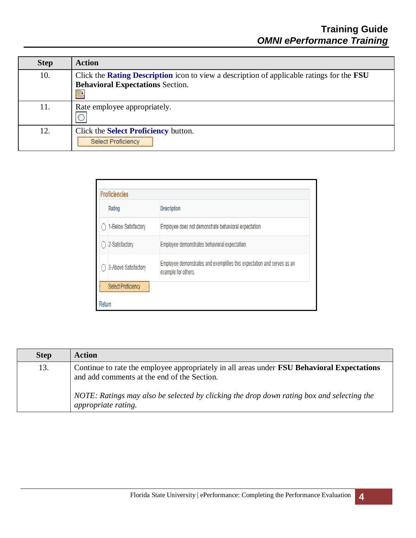| <b>Step</b> | <b>Action</b>                                                                                                                                           |
|-------------|---------------------------------------------------------------------------------------------------------------------------------------------------------|
| 10.         | Click the <b>Rating Description</b> icon to view a description of applicable ratings for the <b>FSU</b><br><b>Behavioral Expectations Section.</b><br>晶 |
| 11.         | Rate employee appropriately.                                                                                                                            |
| 12.         | Click the Select Proficiency button.<br><b>Select Proficiency</b>                                                                                       |

| Rating               | <b>Description</b>                                                                             |
|----------------------|------------------------------------------------------------------------------------------------|
| 1-Below Satisfactory | Employee does not demonstrate behavioral expectation.                                          |
| 2-Satisfactory       | Employee demonstrates behavioral expectation.                                                  |
| 3-Above Satisfactory | Employee demonstrates and exemplifies this expectation and serves as an<br>example for others. |

| <b>Step</b> | <b>Action</b>                                                                                                                                    |
|-------------|--------------------------------------------------------------------------------------------------------------------------------------------------|
| 13.         | Continue to rate the employee appropriately in all areas under <b>FSU Behavioral Expectations</b><br>and add comments at the end of the Section. |
|             | NOTE: Ratings may also be selected by clicking the drop down rating box and selecting the<br><i>appropriate rating.</i>                          |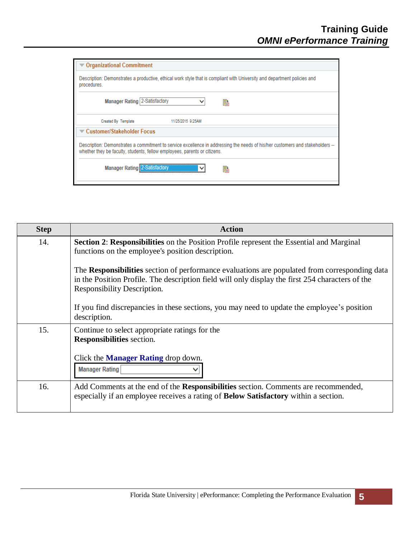| <b>▼ Organizational Commitment</b>                                                                                                                                                                         |   |
|------------------------------------------------------------------------------------------------------------------------------------------------------------------------------------------------------------|---|
| Description: Demonstrates a productive, ethical work style that is compliant with University and department policies and<br>procedures.                                                                    |   |
| <b>Manager Rating 2-Satisfactory</b>                                                                                                                                                                       | 晶 |
| 11/25/2015 9:25AM<br>Created By Template                                                                                                                                                                   |   |
| <b>▼ Customer/Stakeholder Focus</b>                                                                                                                                                                        |   |
| Description: Demonstrates a commitment to service excellence in addressing the needs of his/her customers and stakeholders --<br>whether they be faculty, students, fellow employees, parents or citizens. |   |
| <b>Manager Rating 2-Satisfactory</b>                                                                                                                                                                       | 晶 |

| <b>Step</b> | <b>Action</b>                                                                                                                                                                                                                    |
|-------------|----------------------------------------------------------------------------------------------------------------------------------------------------------------------------------------------------------------------------------|
| 14.         | Section 2: Responsibilities on the Position Profile represent the Essential and Marginal<br>functions on the employee's position description.                                                                                    |
|             | The Responsibilities section of performance evaluations are populated from corresponding data<br>in the Position Profile. The description field will only display the first 254 characters of the<br>Responsibility Description. |
|             | If you find discrepancies in these sections, you may need to update the employee's position<br>description.                                                                                                                      |
| 15.         | Continue to select appropriate ratings for the<br><b>Responsibilities</b> section.<br>Click the <b>Manager Rating</b> drop down.<br><b>Manager Rating</b>                                                                        |
|             |                                                                                                                                                                                                                                  |
| 16.         | Add Comments at the end of the Responsibilities section. Comments are recommended,<br>especially if an employee receives a rating of <b>Below Satisfactory</b> within a section.                                                 |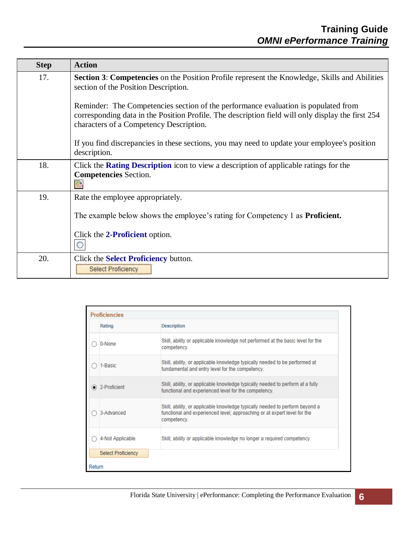| <b>Step</b> | <b>Action</b>                                                                                                                                                                                                                      |
|-------------|------------------------------------------------------------------------------------------------------------------------------------------------------------------------------------------------------------------------------------|
| 17.         | <b>Section 3: Competencies</b> on the Position Profile represent the Knowledge, Skills and Abilities<br>section of the Position Description.                                                                                       |
|             | Reminder: The Competencies section of the performance evaluation is populated from<br>corresponding data in the Position Profile. The description field will only display the first 254<br>characters of a Competency Description. |
|             | If you find discrepancies in these sections, you may need to update your employee's position<br>description.                                                                                                                       |
| 18.         | Click the <b>Rating Description</b> is to view a description of applicable ratings for the                                                                                                                                         |
|             | <b>Competencies</b> Section.<br>晶                                                                                                                                                                                                  |
| 19.         | Rate the employee appropriately.                                                                                                                                                                                                   |
|             | The example below shows the employee's rating for Competency 1 as <b>Proficient.</b>                                                                                                                                               |
|             | Click the 2-Proficient option.                                                                                                                                                                                                     |
| 20.         | Click the <b>Select Proficiency</b> button.<br><b>Select Proficiency</b>                                                                                                                                                           |

|        | <b>Proficiencies</b>      |                                                                                                                                                                         |
|--------|---------------------------|-------------------------------------------------------------------------------------------------------------------------------------------------------------------------|
|        | Rating                    | <b>Description</b>                                                                                                                                                      |
|        | 0-None                    | Skill, ability or applicable knowledge not performed at the basic level for the<br>competency.                                                                          |
|        | 1-Basic                   | Skill, ability, or applicable knowledge typically needed to be performed at<br>fundamental and entry level for the competency.                                          |
|        | 2-Proficient              | Skill, ability, or applicable knowledge typically needed to perform at a fully<br>functional and experienced level for the competency.                                  |
|        | 3-Advanced                | Skill, ability, or applicable knowledge typically needed to perform beyond a<br>functional and experienced level; approaching or at expert level for the<br>competency. |
|        | 4-Not Applicable          | Skill, ability or applicable knowledge no longer a required competency.                                                                                                 |
|        | <b>Select Proficiency</b> |                                                                                                                                                                         |
| Return |                           |                                                                                                                                                                         |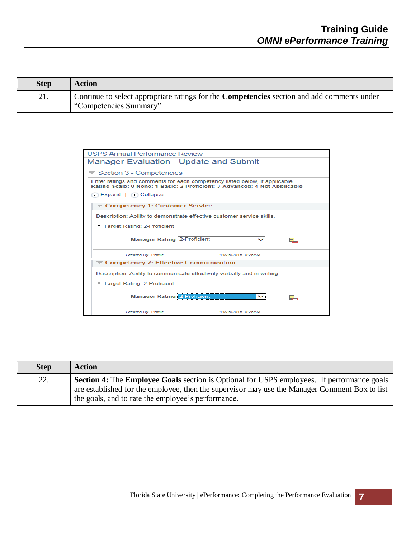| <b>Step</b> | Action                                                                                                                       |
|-------------|------------------------------------------------------------------------------------------------------------------------------|
| 21.         | Continue to select appropriate ratings for the <b>Competencies</b> section and add comments under<br>"Competencies Summary". |

| <b>USPS Annual Performance Review</b>                                                                                                                    |
|----------------------------------------------------------------------------------------------------------------------------------------------------------|
| <b>Manager Evaluation - Update and Submit</b>                                                                                                            |
| $\blacktriangledown$ Section 3 - Competencies                                                                                                            |
| Enter ratings and comments for each competency listed below, if applicable.<br>Rating Scale: 0-None: 1-Basic: 2-Proficient: 3-Advanced: 4-Not Applicable |
| Expand   Collapse                                                                                                                                        |
| Competency 1: Customer Service                                                                                                                           |
| Description: Ability to demonstrate effective customer service skills.                                                                                   |
| • Target Rating: 2-Proficient                                                                                                                            |
| Manager Rating   2-Proficient<br>睅                                                                                                                       |
| 11/25/2015 9:25AM<br><b>Created By Profile</b>                                                                                                           |
| $\blacktriangledown$ Competency 2: Effective Communication                                                                                               |
| Description: Ability to communicate effectively verbally and in writing.                                                                                 |
| • Target Rating: 2-Proficient                                                                                                                            |
| <b>Manager Rating 2-Proficient</b><br>晶                                                                                                                  |
| 11/25/2015 9:25AM<br>Created By Profile                                                                                                                  |

| <b>Step</b> | <b>Action</b>                                                                                            |
|-------------|----------------------------------------------------------------------------------------------------------|
| 22.         | <b>Section 4:</b> The <b>Employee Goals</b> section is Optional for USPS employees. If performance goals |
|             | are established for the employee, then the supervisor may use the Manager Comment Box to list            |
|             | the goals, and to rate the employee's performance.                                                       |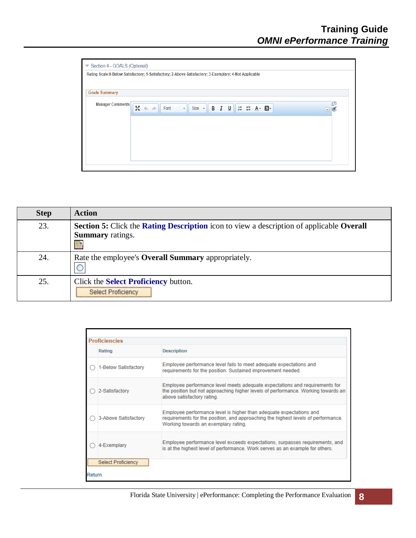| Rating Scale:0-Below Satisfactory; 1-Satisfactory; 2-Above Satisfactory; 3-Exemplary; 4-Not Applicable |                                               |                               |                                                                                       |  |                               |
|--------------------------------------------------------------------------------------------------------|-----------------------------------------------|-------------------------------|---------------------------------------------------------------------------------------|--|-------------------------------|
| <b>Goals Summary</b>                                                                                   |                                               |                               |                                                                                       |  |                               |
| <b>Manager Comments</b>                                                                                | БÃ.<br>Font<br>$\Rightarrow$<br>$\Rightarrow$ | Size $\rightarrow$<br>$\star$ | <b>B</b> $I \cup \mathbb{I}$ $\equiv$ $\equiv$ $\underline{A}$ $\sim$ $\underline{A}$ |  | €<br>$\left  \bullet \right $ |
|                                                                                                        |                                               |                               |                                                                                       |  |                               |

| <b>Step</b> | <b>Action</b>                                                                                                            |
|-------------|--------------------------------------------------------------------------------------------------------------------------|
| 23.         | Section 5: Click the Rating Description icon to view a description of applicable Overall<br><b>Summary</b> ratings.<br>晶 |
| 24.         | Rate the employee's <b>Overall Summary</b> appropriately.                                                                |
| 25.         | Click the <b>Select Proficiency</b> button.<br><b>Select Proficiency</b>                                                 |

|        | <b>Proficiencies</b>      |                                                                                                                                                                                                  |
|--------|---------------------------|--------------------------------------------------------------------------------------------------------------------------------------------------------------------------------------------------|
|        | Rating                    | <b>Description</b>                                                                                                                                                                               |
|        | 1-Below Satisfactory      | Employee performance level fails to meet adequate expectations and<br>requirements for the position. Sustained improvement needed.                                                               |
|        | 2-Satisfactory            | Employee performance level meets adequate expectations and requirements for<br>the position but not approaching higher levels of performance. Working towards an<br>above satisfactory rating.   |
|        | 3-Above Satisfactory      | Employee performance level is higher than adequate expectations and<br>requirements for the position, and approaching the highest levels of performance.<br>Working towards an exemplary rating. |
|        | 4-Exemplarv               | Employee performance level exceeds expectations, surpasses requirements, and<br>is at the highest level of performance. Work serves as an example for others.                                    |
|        | <b>Select Proficiency</b> |                                                                                                                                                                                                  |
| Return |                           |                                                                                                                                                                                                  |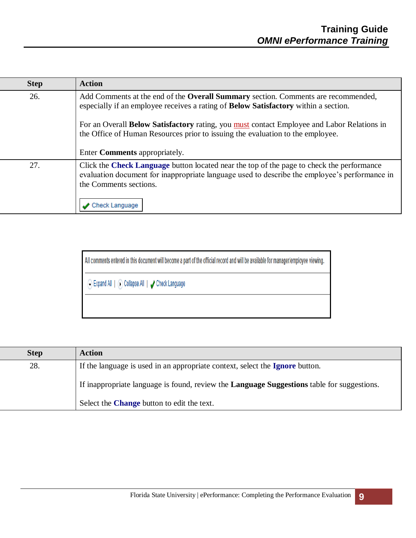| <b>Step</b> | <b>Action</b>                                                                                                                                                                                                        |
|-------------|----------------------------------------------------------------------------------------------------------------------------------------------------------------------------------------------------------------------|
| 26.         | Add Comments at the end of the Overall Summary section. Comments are recommended,<br>especially if an employee receives a rating of <b>Below Satisfactory</b> within a section.                                      |
|             | For an Overall Below Satisfactory rating, you must contact Employee and Labor Relations in<br>the Office of Human Resources prior to issuing the evaluation to the employee.                                         |
|             | Enter Comments appropriately.                                                                                                                                                                                        |
| 27.         | Click the Check Language button located near the top of the page to check the performance<br>evaluation document for inappropriate language used to describe the employee's performance in<br>the Comments sections. |
|             | Check Language                                                                                                                                                                                                       |

All comments entered in this document will become a part of the official record and will be available for manager/employee viewing.

⊙ Expand All | ⊙ Collapse All | ✔ Check Language

| <b>Step</b> | <b>Action</b>                                                                                     |
|-------------|---------------------------------------------------------------------------------------------------|
| 28.         | If the language is used in an appropriate context, select the <b>Ignore</b> button.               |
|             | If inappropriate language is found, review the <b>Language Suggestions</b> table for suggestions. |
|             | Select the <b>Change</b> button to edit the text.                                                 |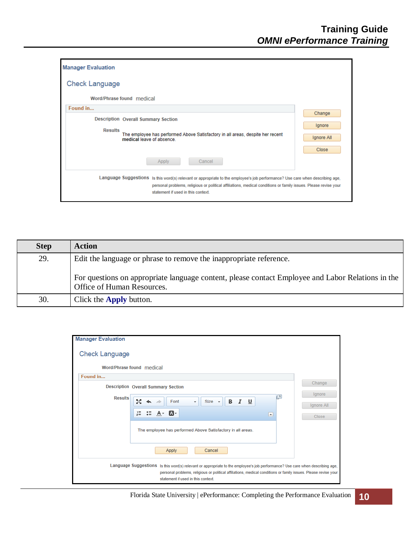| <b>Manager Evaluation</b>                                                                                                                                                                                                                                                              |                      |
|----------------------------------------------------------------------------------------------------------------------------------------------------------------------------------------------------------------------------------------------------------------------------------------|----------------------|
| <b>Check Language</b>                                                                                                                                                                                                                                                                  |                      |
| Word/Phrase found medical                                                                                                                                                                                                                                                              |                      |
| Found in                                                                                                                                                                                                                                                                               | Change               |
| <b>Description Overall Summary Section</b><br><b>Results</b><br>The employee has performed Above Satisfactory in all areas, despite her recent<br>medical leave of absence                                                                                                             | lgnore<br>Ignore All |
| Cancel<br>Apply                                                                                                                                                                                                                                                                        | <b>Close</b>         |
| Language Suggestions Is this word(s) relevant or appropriate to the employee's job performance? Use care when describing age,<br>personal problems, religious or political affiliations, medical conditions or family issues. Please revise your<br>statement if used in this context. |                      |

| <b>Step</b> | <b>Action</b>                                                                                                                   |
|-------------|---------------------------------------------------------------------------------------------------------------------------------|
| 29.         | Edit the language or phrase to remove the inappropriate reference.                                                              |
|             | For questions on appropriate language content, please contact Employee and Labor Relations in the<br>Office of Human Resources. |
| 30.         | Click the <b>Apply</b> button.                                                                                                  |

| <b>Manager Evaluation</b>                                                                                                                                                                                                                                                              |            |
|----------------------------------------------------------------------------------------------------------------------------------------------------------------------------------------------------------------------------------------------------------------------------------------|------------|
| <b>Check Language</b>                                                                                                                                                                                                                                                                  |            |
| Word/Phrase found medical                                                                                                                                                                                                                                                              |            |
| Found in                                                                                                                                                                                                                                                                               |            |
| <b>Description Overall Summary Section</b>                                                                                                                                                                                                                                             | Change     |
| łД<br><b>Results</b><br>Бč<br>Уч<br>В<br>I<br>$\overline{u}$<br>Font<br>$Size -$<br>۰                                                                                                                                                                                                  | lanore     |
|                                                                                                                                                                                                                                                                                        | Ignore All |
| $E \equiv \mathbf{E} \equiv \mathbf{A} - \mathbf{A}$<br>$\blacktriangle$                                                                                                                                                                                                               | Close      |
| The employee has performed Above Satisfactory in all areas.                                                                                                                                                                                                                            |            |
| Apply<br>Cancel                                                                                                                                                                                                                                                                        |            |
| Language Suggestions Is this word(s) relevant or appropriate to the employee's job performance? Use care when describing age,<br>personal problems, religious or political affiliations, medical conditions or family issues. Please revise your<br>statement if used in this context. |            |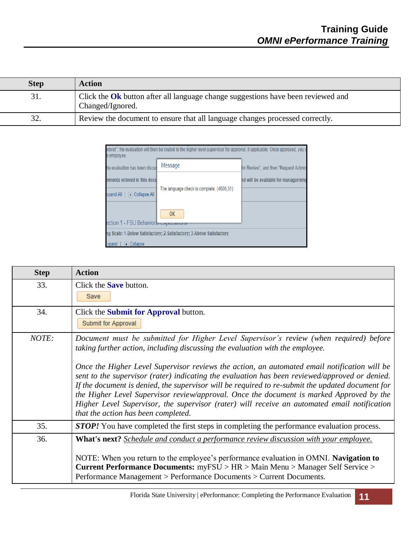| <b>Step</b> | <b>Action</b>                                                                                               |
|-------------|-------------------------------------------------------------------------------------------------------------|
| 31.         | Click the <b>Ok</b> button after all language change suggestions have been reviewed and<br>Changed/Ignored. |
| 32.         | Review the document to ensure that all language changes processed correctly.                                |

| e employee.                                        | proval": the evaluation will then be routed to the higher level supervisor for approval, if applicable. Once approved, you s |                                       |
|----------------------------------------------------|------------------------------------------------------------------------------------------------------------------------------|---------------------------------------|
| he evaluation has been discus                      | Message                                                                                                                      | for Review", and then "Request Acknov |
| nments entered in this docu                        |                                                                                                                              | nd will be available for manager/emp  |
| Collapse All<br>  xpand All                        | The language check is complete. (4600,31)                                                                                    |                                       |
|                                                    | <b>OK</b>                                                                                                                    |                                       |
| ection 1 - FSU Behavior <del>al Expectations</del> |                                                                                                                              |                                       |
|                                                    | ng Scale: 1-Below Satisfactory: 2-Satisfactory: 3-Above Satisfactory                                                         |                                       |
| $\triangleright$ Collapse<br>Expand                |                                                                                                                              |                                       |

| <b>Step</b> | <b>Action</b>                                                                                                                                                                                                                                                                                                                                                                                                                                                                                                                                                             |
|-------------|---------------------------------------------------------------------------------------------------------------------------------------------------------------------------------------------------------------------------------------------------------------------------------------------------------------------------------------------------------------------------------------------------------------------------------------------------------------------------------------------------------------------------------------------------------------------------|
| 33.         | Click the <b>Save</b> button.<br>Save                                                                                                                                                                                                                                                                                                                                                                                                                                                                                                                                     |
| 34.         | Click the <b>Submit for Approval</b> button.<br>Submit for Approval                                                                                                                                                                                                                                                                                                                                                                                                                                                                                                       |
| NOTE:       | Document must be submitted for Higher Level Supervisor's review (when required) before<br>taking further action, including discussing the evaluation with the employee.<br>Once the Higher Level Supervisor reviews the action, an automated email notification will be<br>sent to the supervisor (rater) indicating the evaluation has been reviewed/approved or denied.<br>If the document is denied, the supervisor will be required to re-submit the updated document for<br>the Higher Level Supervisor review/approval. Once the document is marked Approved by the |
|             | Higher Level Supervisor, the supervisor (rater) will receive an automated email notification<br>that the action has been completed.                                                                                                                                                                                                                                                                                                                                                                                                                                       |
| 35.         | <b>STOP!</b> You have completed the first steps in completing the performance evaluation process.                                                                                                                                                                                                                                                                                                                                                                                                                                                                         |
| 36.         | <b>What's next?</b> Schedule and conduct a performance review discussion with your employee.<br>NOTE: When you return to the employee's performance evaluation in OMNI. Navigation to<br><b>Current Performance Documents:</b> myFSU > HR > Main Menu > Manager Self Service ><br>Performance Management > Performance Documents > Current Documents.                                                                                                                                                                                                                     |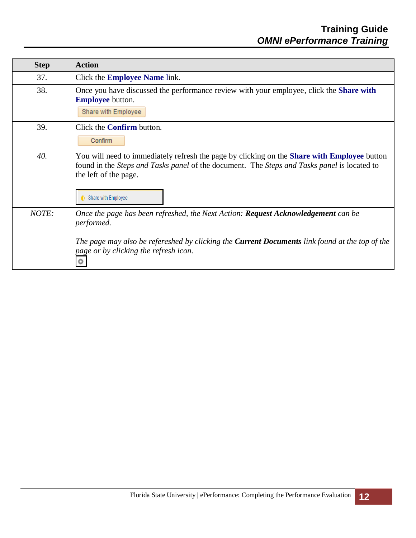| <b>Step</b> | <b>Action</b>                                                                                                                                                                                                                                            |
|-------------|----------------------------------------------------------------------------------------------------------------------------------------------------------------------------------------------------------------------------------------------------------|
| 37.         | Click the <b>Employee Name</b> link.                                                                                                                                                                                                                     |
| 38.         | Once you have discussed the performance review with your employee, click the <b>Share with</b><br><b>Employee</b> button.<br>Share with Employee                                                                                                         |
| 39.         | Click the <b>Confirm</b> button.<br>Confirm                                                                                                                                                                                                              |
| 40.         | You will need to immediately refresh the page by clicking on the Share with Employee button<br>found in the <i>Steps and Tasks panel</i> of the document. The <i>Steps and Tasks panel</i> is located to<br>the left of the page.<br>Share with Employee |
| NOTE:       | Once the page has been refreshed, the Next Action: <b>Request Acknowledgement</b> can be<br>performed.<br>The page may also be refereshed by clicking the <b>Current Documents</b> link found at the top of the<br>page or by clicking the refresh icon. |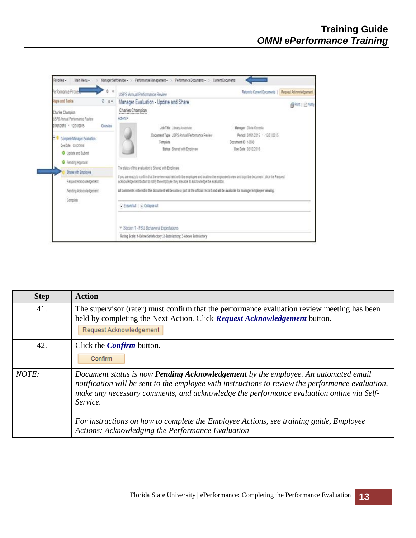

| <b>Step</b> | <b>Action</b>                                                                                                                                                                                                                                                                                                                                                                                                                                         |
|-------------|-------------------------------------------------------------------------------------------------------------------------------------------------------------------------------------------------------------------------------------------------------------------------------------------------------------------------------------------------------------------------------------------------------------------------------------------------------|
| 41.         | The supervisor (rater) must confirm that the performance evaluation review meeting has been<br>held by completing the Next Action. Click Request Acknowledgement button.<br>Request Acknowledgement                                                                                                                                                                                                                                                   |
| 42.         | Click the <i>Confirm</i> button.<br>Confirm                                                                                                                                                                                                                                                                                                                                                                                                           |
| $NOTE$ :    | Document status is now <b>Pending Acknowledgement</b> by the employee. An automated email<br>notification will be sent to the employee with instructions to review the performance evaluation,<br>make any necessary comments, and acknowledge the performance evaluation online via Self-<br>Service.<br>For instructions on how to complete the Employee Actions, see training guide, Employee<br>Actions: Acknowledging the Performance Evaluation |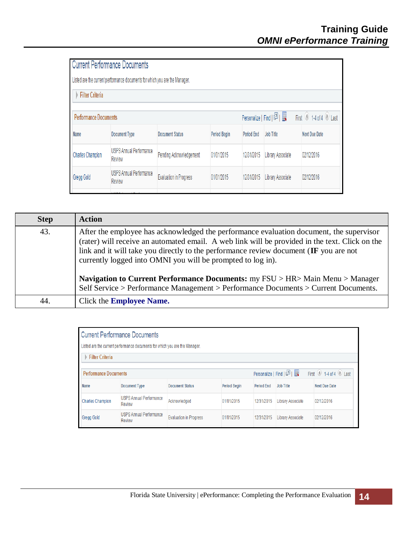| <b>Current Performance Documents</b>     |                               |                                                                             |                   |                          |                        |
|------------------------------------------|-------------------------------|-----------------------------------------------------------------------------|-------------------|--------------------------|------------------------|
|                                          |                               |                                                                             |                   |                          |                        |
|                                          |                               |                                                                             |                   |                          |                        |
| <b>Performance Documents</b>             |                               |                                                                             |                   |                          | First 14 of 4 Last     |
| <b>Document Type</b>                     | <b>Document Status</b>        | <b>Period Begin</b>                                                         | <b>Period End</b> | Job Title                | <b>Next Due Date</b>   |
| <b>USPS Annual Performance</b><br>Review | Pending Acknowledgement       | 01/01/2015                                                                  | 12/31/2015        | <b>Library Associate</b> | 02/12/2016             |
| <b>USPS Annual Performance</b><br>Review | <b>Evaluation in Progress</b> | 01/01/2015                                                                  | 12/31/2015        | <b>Library Associate</b> | 02/12/2016             |
|                                          |                               | Listed are the current performance documents for which you are the Manager. |                   |                          | Personalize   Find   2 |

| <b>Step</b> | <b>Action</b>                                                                                                                                                                                                                                                                                                                                     |
|-------------|---------------------------------------------------------------------------------------------------------------------------------------------------------------------------------------------------------------------------------------------------------------------------------------------------------------------------------------------------|
| 43.         | After the employee has acknowledged the performance evaluation document, the supervisor<br>(rater) will receive an automated email. A web link will be provided in the text. Click on the<br>link and it will take you directly to the performance review document (IF you are not<br>currently logged into OMNI you will be prompted to log in). |
|             | <b>Navigation to Current Performance Documents:</b> my FSU > HR> Main Menu > Manager<br>Self Service > Performance Management > Performance Documents > Current Documents.                                                                                                                                                                        |
| 44.         | Click the <b>Employee Name.</b>                                                                                                                                                                                                                                                                                                                   |

| <b>Current Performance Documents</b>                                          |                                          |                               |                     |                   |                          |                      |
|-------------------------------------------------------------------------------|------------------------------------------|-------------------------------|---------------------|-------------------|--------------------------|----------------------|
| Listed are the current performance documents for which you are the Manager.   |                                          |                               |                     |                   |                          |                      |
| <b>Filter Criteria</b>                                                        |                                          |                               |                     |                   |                          |                      |
| First 14 of 4 Last<br>Personalize   Find   미국<br><b>Performance Documents</b> |                                          |                               |                     |                   |                          |                      |
| <b>Name</b>                                                                   | <b>Document Type</b>                     | <b>Document Status</b>        | <b>Period Begin</b> | <b>Period End</b> | <b>Job Title</b>         | <b>Next Due Date</b> |
| <b>Charles Champion</b>                                                       | <b>USPS Annual Performance</b><br>Review | Acknowledged                  | 01/01/2015          | 12/31/2015        | <b>Library Associate</b> | 02/12/2016           |
| <b>Gregg Gold</b>                                                             | <b>USPS Annual Performance</b><br>Review | <b>Evaluation in Progress</b> | 01/01/2015          | 12/31/2015        | <b>Library Associate</b> | 02/12/2016           |